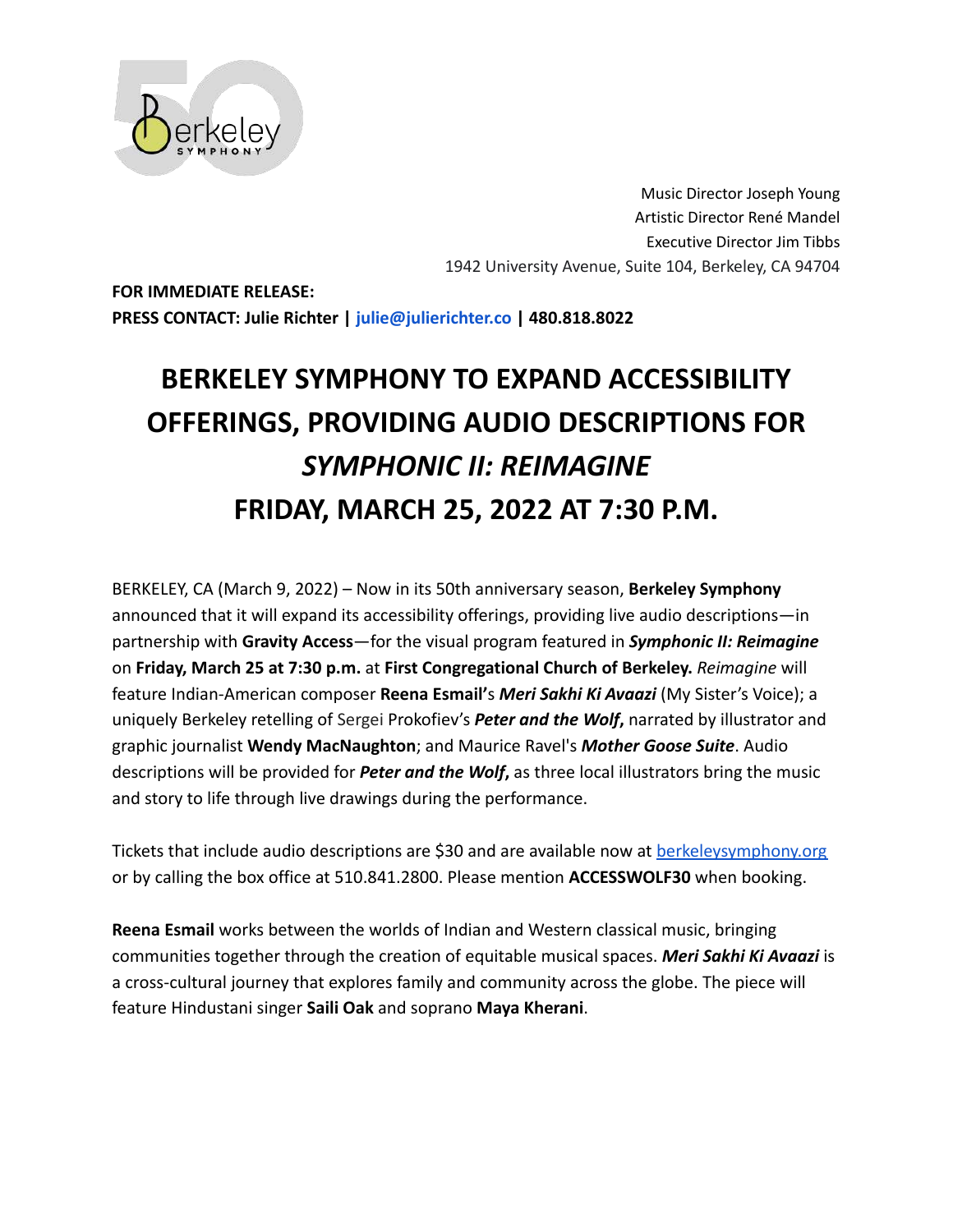

Music Director Joseph Young Artistic Director René Mandel Executive Director Jim Tibbs 1942 University Avenue, Suite 104, Berkeley, CA 94704

**FOR IMMEDIATE RELEASE: PRESS CONTACT: Julie Richter | julie@julierichter.co | 480.818.8022**

## **BERKELEY SYMPHONY TO EXPAND ACCESSIBILITY OFFERINGS, PROVIDING AUDIO DESCRIPTIONS FOR** *SYMPHONIC II: REIMAGINE* **FRIDAY, MARCH 25, 2022 AT 7:30 P.M.**

BERKELEY, CA (March 9, 2022) – Now in its 50th anniversary season, **Berkeley Symphony** announced that it will expand its accessibility offerings, providing live audio descriptions—in partnership with **Gravity Access**—for the visual program featured in *Symphonic II: Reimagine* on **Friday, March 25 at 7:30 p.m.** at **First Congregational Church of Berkeley.** *Reimagine* will feature Indian-American composer **Reena Esmail'**s *Meri Sakhi Ki Avaazi* (My Sister's Voice); a uniquely Berkeley retelling of Sergei Prokofiev's *Peter and the Wolf***,** narrated by illustrator and graphic journalist **Wendy MacNaughton**; and Maurice Ravel's *Mother Goose Suite*. Audio descriptions will be provided for *Peter and the Wolf***,** as three local illustrators bring the music and story to life through live drawings during the performance.

Tickets that include audio descriptions are \$30 and are available now at **[berkeleysymphony.org](http://www.berkeleysymphony.org.)** or by calling the box office at 510.841.2800. Please mention **ACCESSWOLF30** when booking.

**Reena Esmail** works between the worlds of Indian and Western classical music, bringing communities together through the creation of equitable musical spaces. *Meri Sakhi Ki Avaazi* is a cross-cultural journey that explores family and community across the globe. The piece will feature Hindustani singer **Saili Oak** and soprano **Maya Kherani**.